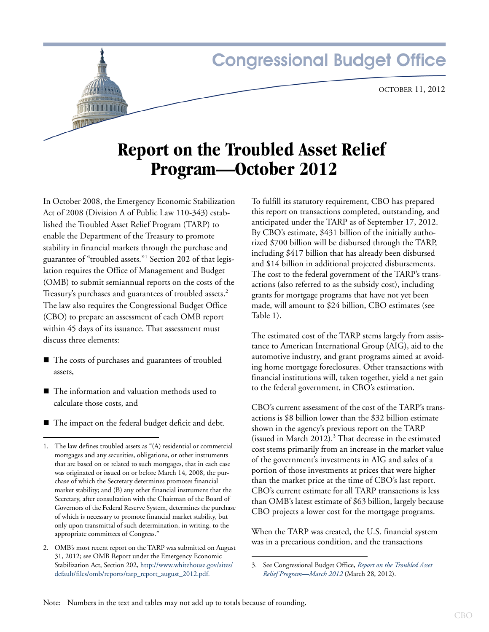# **Congressional Budget Office**

# **Report on the Troubled Asset Relief Program—October 2012**

In October 2008, the Emergency Economic Stabilization Act of 2008 (Division A of Public Law 110-343) established the Troubled Asset Relief Program (TARP) to enable the Department of the Treasury to promote stability in financial markets through the purchase and guarantee of "troubled assets."<sup>1</sup> Section 202 of that legislation requires the Office of Management and Budget (OMB) to submit semiannual reports on the costs of the Treasury's purchases and guarantees of troubled assets.<sup>2</sup> The law also requires the Congressional Budget Office (CBO) to prepare an assessment of each OMB report within 45 days of its issuance. That assessment must discuss three elements:

- The costs of purchases and guarantees of troubled assets,
- The information and valuation methods used to calculate those costs, and
- The impact on the federal budget deficit and debt.

To fulfill its statutory requirement, CBO has prepared this report on transactions completed, outstanding, and anticipated under the TARP as of September 17, 2012. By CBO's estimate, \$431 billion of the initially authorized \$700 billion will be disbursed through the TARP, including \$417 billion that has already been disbursed and \$14 billion in additional projected disbursements. The cost to the federal government of the TARP's transactions (also referred to as the subsidy cost), including grants for mortgage programs that have not yet been made, will amount to \$24 billion, CBO estimates (see [Table 1](#page-1-0)).

The estimated cost of the TARP stems largely from assistance to American International Group (AIG), aid to the automotive industry, and grant programs aimed at avoiding home mortgage foreclosures. Other transactions with financial institutions will, taken together, yield a net gain to the federal government, in CBO's estimation.

CBO's current assessment of the cost of the TARP's transactions is \$8 billion lower than the \$32 billion estimate shown in the agency's previous report on the TARP (issued in March 2012).<sup>3</sup> That decrease in the estimated cost stems primarily from an increase in the market value of the government's investments in AIG and sales of a portion of those investments at prices that were higher than the market price at the time of CBO's last report. CBO's current estimate for all TARP transactions is less than OMB's latest estimate of \$63 billion, largely because CBO projects a lower cost for the mortgage programs.

When the TARP was created, the U.S. financial system was in a precarious condition, and the transactions

<sup>1.</sup> The law defines troubled assets as "(A) residential or commercial mortgages and any securities, obligations, or other instruments that are based on or related to such mortgages, that in each case was originated or issued on or before March 14, 2008, the purchase of which the Secretary determines promotes financial market stability; and (B) any other financial instrument that the Secretary, after consultation with the Chairman of the Board of Governors of the Federal Reserve System, determines the purchase of which is necessary to promote financial market stability, but only upon transmittal of such determination, in writing, to the appropriate committees of Congress."

<sup>2.</sup> OMB's most recent report on the TARP was submitted on August 31, 2012; see OMB Report under the Emergency Economic Stabilization Act, Section 202, [http://www.whitehouse.gov/sites/](http://www.whitehouse.gov/sites/default/files/omb/reports/tarp_report_august_2012.pdf) [default/files/omb/reports/tarp\\_report\\_august\\_2012.pdf.](http://www.whitehouse.gov/sites/default/files/omb/reports/tarp_report_august_2012.pdf)

<sup>3.</sup> See Congressional Budget Office, *Report on the Troubled Asset Relief Program—March 2012* (March 28, 2012).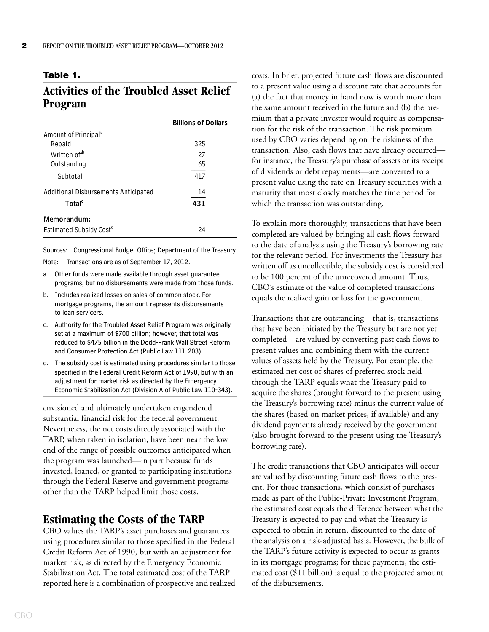#### <span id="page-1-0"></span>**Table 1.**

# **Activities of the Troubled Asset Relief Program**

|                                      | <b>Billions of Dollars</b> |
|--------------------------------------|----------------------------|
| Amount of Principal <sup>a</sup>     |                            |
| Repaid                               | 325                        |
| Written off <sup>b</sup>             | 27                         |
| Outstanding                          | 65                         |
| Subtotal                             | 417                        |
| Additional Disbursements Anticipated | 14                         |
| Total <sup>c</sup>                   | 431                        |
| Memorandum:                          |                            |
| Estimated Subsidy Cost <sup>d</sup>  | 24                         |

Sources: Congressional Budget Office; Department of the Treasury. Note: Transactions are as of September 17, 2012.

- a. Other funds were made available through asset guarantee programs, but no disbursements were made from those funds.
- b. Includes realized losses on sales of common stock. For mortgage programs, the amount represents disbursements to loan servicers.
- c. Authority for the Troubled Asset Relief Program was originally set at a maximum of \$700 billion; however, that total was reduced to \$475 billion in the Dodd-Frank Wall Street Reform and Consumer Protection Act (Public Law 111-203).
- d. The subsidy cost is estimated using procedures similar to those specified in the Federal Credit Reform Act of 1990, but with an adjustment for market risk as directed by the Emergency Economic Stabilization Act (Division A of Public Law 110-343).

envisioned and ultimately undertaken engendered substantial financial risk for the federal government. Nevertheless, the net costs directly associated with the TARP, when taken in isolation, have been near the low end of the range of possible outcomes anticipated when the program was launched—in part because funds invested, loaned, or granted to participating institutions through the Federal Reserve and government programs other than the TARP helped limit those costs.

## **Estimating the Costs of the TARP**

CBO values the TARP's asset purchases and guarantees using procedures similar to those specified in the Federal Credit Reform Act of 1990, but with an adjustment for market risk, as directed by the Emergency Economic Stabilization Act. The total estimated cost of the TARP reported here is a combination of prospective and realized costs. In brief, projected future cash flows are discounted to a present value using a discount rate that accounts for (a) the fact that money in hand now is worth more than the same amount received in the future and (b) the premium that a private investor would require as compensation for the risk of the transaction. The risk premium used by CBO varies depending on the riskiness of the transaction. Also, cash flows that have already occurred for instance, the Treasury's purchase of assets or its receipt of dividends or debt repayments—are converted to a present value using the rate on Treasury securities with a maturity that most closely matches the time period for which the transaction was outstanding.

To explain more thoroughly, transactions that have been completed are valued by bringing all cash flows forward to the date of analysis using the Treasury's borrowing rate for the relevant period. For investments the Treasury has written off as uncollectible, the subsidy cost is considered to be 100 percent of the unrecovered amount. Thus, CBO's estimate of the value of completed transactions equals the realized gain or loss for the government.

Transactions that are outstanding—that is, transactions that have been initiated by the Treasury but are not yet completed—are valued by converting past cash flows to present values and combining them with the current values of assets held by the Treasury. For example, the estimated net cost of shares of preferred stock held through the TARP equals what the Treasury paid to acquire the shares (brought forward to the present using the Treasury's borrowing rate) minus the current value of the shares (based on market prices, if available) and any dividend payments already received by the government (also brought forward to the present using the Treasury's borrowing rate).

The credit transactions that CBO anticipates will occur are valued by discounting future cash flows to the present. For those transactions, which consist of purchases made as part of the Public-Private Investment Program, the estimated cost equals the difference between what the Treasury is expected to pay and what the Treasury is expected to obtain in return, discounted to the date of the analysis on a risk-adjusted basis. However, the bulk of the TARP's future activity is expected to occur as grants in its mortgage programs; for those payments, the estimated cost (\$11 billion) is equal to the projected amount of the disbursements.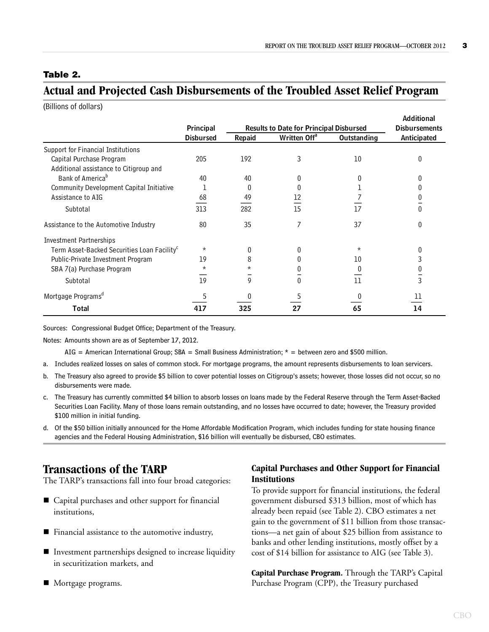### <span id="page-2-0"></span>**Table 2.**

## **Actual and Projected Cash Disbursements of the Troubled Asset Relief Program**

(Billions of dollars)

|                                                         | Principal<br><b>Results to Date for Principal Disbursed</b> |               |                          | Additional<br><b>Disbursements</b> |              |
|---------------------------------------------------------|-------------------------------------------------------------|---------------|--------------------------|------------------------------------|--------------|
|                                                         | <b>Disbursed</b>                                            | <b>Repaid</b> | Written Off <sup>a</sup> | <b>Outstanding</b>                 | Anticipated  |
| Support for Financial Institutions                      |                                                             |               |                          |                                    |              |
| Capital Purchase Program                                | 205                                                         | 192           | 3                        | 10                                 |              |
| Additional assistance to Citigroup and                  |                                                             |               |                          |                                    |              |
| Bank of America <sup>b</sup>                            | 40                                                          | 40            |                          |                                    |              |
| Community Development Capital Initiative                |                                                             | 0             |                          |                                    |              |
| Assistance to AIG                                       | 68                                                          | 49            |                          |                                    |              |
| Subtotal                                                | 313                                                         | 282           | 15                       | 17                                 | $\mathbf{0}$ |
| Assistance to the Automotive Industry                   | 80                                                          | 35            |                          | 37                                 |              |
| <b>Investment Partnerships</b>                          |                                                             |               |                          |                                    |              |
| Term Asset-Backed Securities Loan Facility <sup>c</sup> | $\star$                                                     | 0             |                          | $\star$                            |              |
| Public-Private Investment Program                       | 19                                                          | 8             |                          | 10                                 | 3            |
| SBA 7(a) Purchase Program                               | $^\star$                                                    | $^\star$      |                          |                                    | 0            |
| Subtotal                                                | 19                                                          | 9             |                          | 11                                 | 3            |
| Mortgage Programs <sup>d</sup>                          |                                                             |               |                          |                                    | 11           |
| Total                                                   | 417                                                         | 325           | 27                       | 65                                 | 14           |

Sources: Congressional Budget Office; Department of the Treasury.

Notes: Amounts shown are as of September 17, 2012.

AIG = American International Group; SBA = Small Business Administration;  $*$  = between zero and \$500 million.

- a. Includes realized losses on sales of common stock. For mortgage programs, the amount represents disbursements to loan servicers.
- b. The Treasury also agreed to provide \$5 billion to cover potential losses on Citigroup's assets; however, those losses did not occur, so no disbursements were made.
- c. The Treasury has currently committed \$4 billion to absorb losses on loans made by the Federal Reserve through the Term Asset-Backed Securities Loan Facility. Many of those loans remain outstanding, and no losses have occurred to date; however, the Treasury provided \$100 million in initial funding.
- d. Of the \$50 billion initially announced for the Home Affordable Modification Program, which includes funding for state housing finance agencies and the Federal Housing Administration, \$16 billion will eventually be disbursed, CBO estimates.

## **Transactions of the TARP**

The TARP's transactions fall into four broad categories:

- Capital purchases and other support for financial institutions,
- Financial assistance to the automotive industry,
- **Investment partnerships designed to increase liquidity** in securitization markets, and
- Mortgage programs.

### **Capital Purchases and Other Support for Financial Institutions**

To provide support for financial institutions, the federal government disbursed \$313 billion, most of which has already been repaid (see [Table 2](#page-2-0)). CBO estimates a net gain to the government of \$11 billion from those transactions—a net gain of about \$25 billion from assistance to banks and other lending institutions, mostly offset by a cost of \$14 billion for assistance to AIG (see [Table 3](#page-3-0)).

**Capital Purchase Program.** Through the TARP's Capital Purchase Program (CPP), the Treasury purchased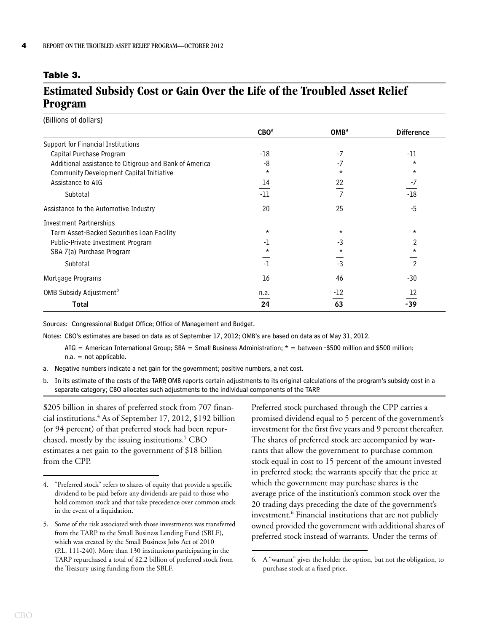#### <span id="page-3-0"></span>**Table 3.**

## **Estimated Subsidy Cost or Gain Over the Life of the Troubled Asset Relief Program**

(Billions of dollars)

|                                                        | CBO <sup>a</sup> | OMB <sup>a</sup> | <b>Difference</b> |
|--------------------------------------------------------|------------------|------------------|-------------------|
| Support for Financial Institutions                     |                  |                  |                   |
| Capital Purchase Program                               | -18              | -7               | -11               |
| Additional assistance to Citigroup and Bank of America | -8               | -7               | $\star$           |
| <b>Community Development Capital Initiative</b>        | $\star$          | $\star$          | $\star$           |
| Assistance to AIG                                      | 14               | 22               | -7                |
| Subtotal                                               | $-11$            |                  | $-18$             |
| Assistance to the Automotive Industry                  | 20               | 25               | $-5$              |
| <b>Investment Partnerships</b>                         |                  |                  |                   |
| Term Asset-Backed Securities Loan Facility             | $^{\star}$       | $^\star$         | $^\star$          |
| Public-Private Investment Program                      | -1               | -3               | 2                 |
| SBA 7(a) Purchase Program                              | $\star$          | $\star$          | $\star$           |
| Subtotal                                               | $-1$             | $-3$             | $\overline{2}$    |
| Mortgage Programs                                      | 16               | 46               | $-30$             |
| OMB Subsidy Adjustment <sup>b</sup>                    | n.a.             | -12              |                   |
| Total                                                  | 24               | 63               | $-39$             |

Sources: Congressional Budget Office; Office of Management and Budget.

Notes: CBO's estimates are based on data as of September 17, 2012; OMB's are based on data as of May 31, 2012.

AIG = American International Group; SBA = Small Business Administration;  $*$  = between -\$500 million and \$500 million; n.a. = not applicable.

- a. Negative numbers indicate a net gain for the government; positive numbers, a net cost.
- b. In its estimate of the costs of the TARP, OMB reports certain adjustments to its original calculations of the program's subsidy cost in a separate category; CBO allocates such adjustments to the individual components of the TARP.

\$205 billion in shares of preferred stock from 707 financial institutions.<sup>4</sup> As of September 17, 2012, \$192 billion (or 94 percent) of that preferred stock had been repurchased, mostly by the issuing institutions.<sup>5</sup> CBO estimates a net gain to the government of \$18 billion from the CPP.

Preferred stock purchased through the CPP carries a promised dividend equal to 5 percent of the government's investment for the first five years and 9 percent thereafter. The shares of preferred stock are accompanied by warrants that allow the government to purchase common stock equal in cost to 15 percent of the amount invested in preferred stock; the warrants specify that the price at which the government may purchase shares is the average price of the institution's common stock over the 20 trading days preceding the date of the government's investment.<sup>6</sup> Financial institutions that are not publicly owned provided the government with additional shares of preferred stock instead of warrants. Under the terms of

<sup>4. &</sup>quot;Preferred stock" refers to shares of equity that provide a specific dividend to be paid before any dividends are paid to those who hold common stock and that take precedence over common stock in the event of a liquidation.

<sup>5.</sup> Some of the risk associated with those investments was transferred from the TARP to the Small Business Lending Fund (SBLF), which was created by the Small Business Jobs Act of 2010 (P.L. 111-240). More than 130 institutions participating in the TARP repurchased a total of \$2.2 billion of preferred stock from the Treasury using funding from the SBLF.

<sup>6.</sup> A "warrant" gives the holder the option, but not the obligation, to purchase stock at a fixed price.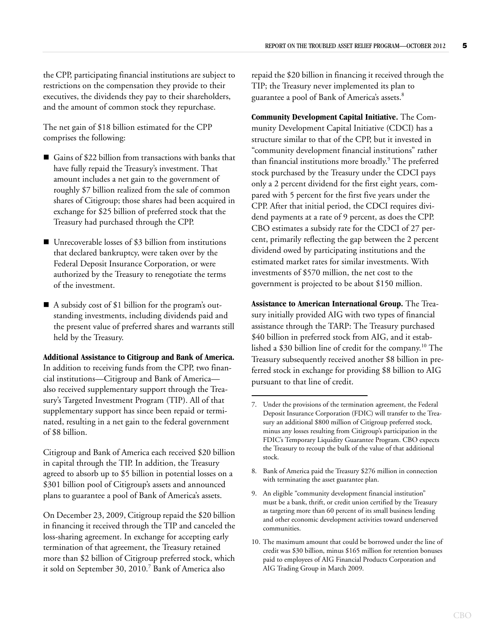the CPP, participating financial institutions are subject to restrictions on the compensation they provide to their executives, the dividends they pay to their shareholders, and the amount of common stock they repurchase.

The net gain of \$18 billion estimated for the CPP comprises the following:

- Gains of \$22 billion from transactions with banks that have fully repaid the Treasury's investment. That amount includes a net gain to the government of roughly \$7 billion realized from the sale of common shares of Citigroup; those shares had been acquired in exchange for \$25 billion of preferred stock that the Treasury had purchased through the CPP.
- Unrecoverable losses of \$3 billion from institutions that declared bankruptcy, were taken over by the Federal Deposit Insurance Corporation, or were authorized by the Treasury to renegotiate the terms of the investment.
- A subsidy cost of \$1 billion for the program's outstanding investments, including dividends paid and the present value of preferred shares and warrants still held by the Treasury.

**Additional Assistance to Citigroup and Bank of America.** In addition to receiving funds from the CPP, two financial institutions—Citigroup and Bank of America also received supplementary support through the Treasury's Targeted Investment Program (TIP). All of that supplementary support has since been repaid or terminated, resulting in a net gain to the federal government of \$8 billion.

Citigroup and Bank of America each received \$20 billion in capital through the TIP. In addition, the Treasury agreed to absorb up to \$5 billion in potential losses on a \$301 billion pool of Citigroup's assets and announced plans to guarantee a pool of Bank of America's assets.

On December 23, 2009, Citigroup repaid the \$20 billion in financing it received through the TIP and canceled the loss-sharing agreement. In exchange for accepting early termination of that agreement, the Treasury retained more than \$2 billion of Citigroup preferred stock, which it sold on September 30, 2010.<sup>7</sup> Bank of America also

repaid the \$20 billion in financing it received through the TIP; the Treasury never implemented its plan to guarantee a pool of Bank of America's assets.<sup>8</sup>

**Community Development Capital Initiative.** The Community Development Capital Initiative (CDCI) has a structure similar to that of the CPP, but it invested in "community development financial institutions" rather than financial institutions more broadly.<sup>9</sup> The preferred stock purchased by the Treasury under the CDCI pays only a 2 percent dividend for the first eight years, compared with 5 percent for the first five years under the CPP. After that initial period, the CDCI requires dividend payments at a rate of 9 percent, as does the CPP. CBO estimates a subsidy rate for the CDCI of 27 percent, primarily reflecting the gap between the 2 percent dividend owed by participating institutions and the estimated market rates for similar investments. With investments of \$570 million, the net cost to the government is projected to be about \$150 million.

**Assistance to American International Group.** The Treasury initially provided AIG with two types of financial assistance through the TARP: The Treasury purchased \$40 billion in preferred stock from AIG, and it established a \$30 billion line of credit for the company.<sup>10</sup> The Treasury subsequently received another \$8 billion in preferred stock in exchange for providing \$8 billion to AIG pursuant to that line of credit.

- 8. Bank of America paid the Treasury \$276 million in connection with terminating the asset guarantee plan.
- 9. An eligible "community development financial institution" must be a bank, thrift, or credit union certified by the Treasury as targeting more than 60 percent of its small business lending and other economic development activities toward underserved communities.
- 10. The maximum amount that could be borrowed under the line of credit was \$30 billion, minus \$165 million for retention bonuses paid to employees of AIG Financial Products Corporation and AIG Trading Group in March 2009.

<sup>7.</sup> Under the provisions of the termination agreement, the Federal Deposit Insurance Corporation (FDIC) will transfer to the Treasury an additional \$800 million of Citigroup preferred stock, minus any losses resulting from Citigroup's participation in the FDIC's Temporary Liquidity Guarantee Program. CBO expects the Treasury to recoup the bulk of the value of that additional stock.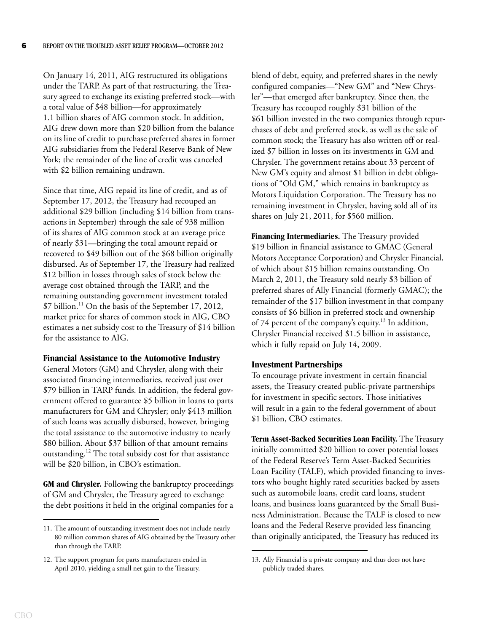On January 14, 2011, AIG restructured its obligations under the TARP. As part of that restructuring, the Treasury agreed to exchange its existing preferred stock—with a total value of \$48 billion—for approximately 1.1 billion shares of AIG common stock. In addition, AIG drew down more than \$20 billion from the balance on its line of credit to purchase preferred shares in former AIG subsidiaries from the Federal Reserve Bank of New York; the remainder of the line of credit was canceled with \$2 billion remaining undrawn.

Since that time, AIG repaid its line of credit, and as of September 17, 2012, the Treasury had recouped an additional \$29 billion (including \$14 billion from transactions in September) through the sale of 938 million of its shares of AIG common stock at an average price of nearly \$31—bringing the total amount repaid or recovered to \$49 billion out of the \$68 billion originally disbursed. As of September 17, the Treasury had realized \$12 billion in losses through sales of stock below the average cost obtained through the TARP, and the remaining outstanding government investment totaled \$7 billion.<sup>11</sup> On the basis of the September 17, 2012, market price for shares of common stock in AIG, CBO estimates a net subsidy cost to the Treasury of \$14 billion for the assistance to AIG.

#### **Financial Assistance to the Automotive Industry**

General Motors (GM) and Chrysler, along with their associated financing intermediaries, received just over \$79 billion in TARP funds. In addition, the federal government offered to guarantee \$5 billion in loans to parts manufacturers for GM and Chrysler; only \$413 million of such loans was actually disbursed, however, bringing the total assistance to the automotive industry to nearly \$80 billion. About \$37 billion of that amount remains outstanding.12 The total subsidy cost for that assistance will be \$20 billion, in CBO's estimation.

**GM and Chrysler.** Following the bankruptcy proceedings of GM and Chrysler, the Treasury agreed to exchange the debt positions it held in the original companies for a

blend of debt, equity, and preferred shares in the newly configured companies—"New GM" and "New Chrysler"—that emerged after bankruptcy. Since then, the Treasury has recouped roughly \$31 billion of the \$61 billion invested in the two companies through repurchases of debt and preferred stock, as well as the sale of common stock; the Treasury has also written off or realized \$7 billion in losses on its investments in GM and Chrysler. The government retains about 33 percent of New GM's equity and almost \$1 billion in debt obligations of "Old GM," which remains in bankruptcy as Motors Liquidation Corporation. The Treasury has no remaining investment in Chrysler, having sold all of its shares on July 21, 2011, for \$560 million.

**Financing Intermediaries.** The Treasury provided \$19 billion in financial assistance to GMAC (General Motors Acceptance Corporation) and Chrysler Financial, of which about \$15 billion remains outstanding. On March 2, 2011, the Treasury sold nearly \$3 billion of preferred shares of Ally Financial (formerly GMAC); the remainder of the \$17 billion investment in that company consists of \$6 billion in preferred stock and ownership of 74 percent of the company's equity.<sup>13</sup> In addition, Chrysler Financial received \$1.5 billion in assistance, which it fully repaid on July 14, 2009.

#### **Investment Partnerships**

To encourage private investment in certain financial assets, the Treasury created public-private partnerships for investment in specific sectors. Those initiatives will result in a gain to the federal government of about \$1 billion, CBO estimates.

**Term Asset-Backed Securities Loan Facility.** The Treasury initially committed \$20 billion to cover potential losses of the Federal Reserve's Term Asset-Backed Securities Loan Facility (TALF), which provided financing to investors who bought highly rated securities backed by assets such as automobile loans, credit card loans, student loans, and business loans guaranteed by the Small Business Administration. Because the TALF is closed to new loans and the Federal Reserve provided less financing than originally anticipated, the Treasury has reduced its

<sup>11.</sup> The amount of outstanding investment does not include nearly 80 million common shares of AIG obtained by the Treasury other than through the TARP.

<sup>12.</sup> The support program for parts manufacturers ended in April 2010, yielding a small net gain to the Treasury.

<sup>13.</sup> Ally Financial is a private company and thus does not have publicly traded shares.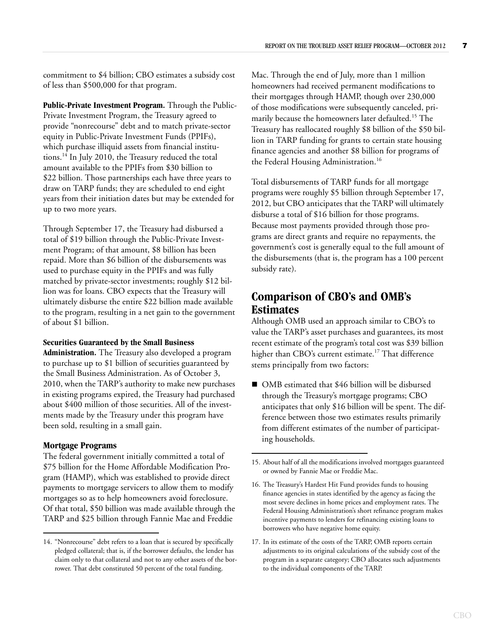commitment to \$4 billion; CBO estimates a subsidy cost of less than \$500,000 for that program.

Public-Private Investment Program. Through the Public-Private Investment Program, the Treasury agreed to provide "nonrecourse" debt and to match private-sector equity in Public-Private Investment Funds (PPIFs), which purchase illiquid assets from financial institutions.14 In July 2010, the Treasury reduced the total amount available to the PPIFs from \$30 billion to \$22 billion. Those partnerships each have three years to draw on TARP funds; they are scheduled to end eight years from their initiation dates but may be extended for up to two more years.

Through September 17, the Treasury had disbursed a total of \$19 billion through the Public-Private Investment Program; of that amount, \$8 billion has been repaid. More than \$6 billion of the disbursements was used to purchase equity in the PPIFs and was fully matched by private-sector investments; roughly \$12 billion was for loans. CBO expects that the Treasury will ultimately disburse the entire \$22 billion made available to the program, resulting in a net gain to the government of about \$1 billion.

#### **Securities Guaranteed by the Small Business**

**Administration.** The Treasury also developed a program to purchase up to \$1 billion of securities guaranteed by the Small Business Administration. As of October 3, 2010, when the TARP's authority to make new purchases in existing programs expired, the Treasury had purchased about \$400 million of those securities. All of the investments made by the Treasury under this program have been sold, resulting in a small gain.

#### **Mortgage Programs**

The federal government initially committed a total of \$75 billion for the Home Affordable Modification Program (HAMP), which was established to provide direct payments to mortgage servicers to allow them to modify mortgages so as to help homeowners avoid foreclosure. Of that total, \$50 billion was made available through the TARP and \$25 billion through Fannie Mae and Freddie

Mac. Through the end of July, more than 1 million homeowners had received permanent modifications to their mortgages through HAMP, though over 230,000 of those modifications were subsequently canceled, primarily because the homeowners later defaulted.<sup>15</sup> The Treasury has reallocated roughly \$8 billion of the \$50 billion in TARP funding for grants to certain state housing finance agencies and another \$8 billion for programs of the Federal Housing Administration.<sup>16</sup>

Total disbursements of TARP funds for all mortgage programs were roughly \$5 billion through September 17, 2012, but CBO anticipates that the TARP will ultimately disburse a total of \$16 billion for those programs. Because most payments provided through those programs are direct grants and require no repayments, the government's cost is generally equal to the full amount of the disbursements (that is, the program has a 100 percent subsidy rate).

## **Comparison of CBO's and OMB's Estimates**

Although OMB used an approach similar to CBO's to value the TARP's asset purchases and guarantees, its most recent estimate of the program's total cost was \$39 billion higher than CBO's current estimate.<sup>17</sup> That difference stems principally from two factors:

■ OMB estimated that \$46 billion will be disbursed through the Treasury's mortgage programs; CBO anticipates that only \$16 billion will be spent. The difference between those two estimates results primarily from different estimates of the number of participating households.

<sup>14. &</sup>quot;Nonrecourse" debt refers to a loan that is secured by specifically pledged collateral; that is, if the borrower defaults, the lender has claim only to that collateral and not to any other assets of the borrower. That debt constituted 50 percent of the total funding.

<sup>15.</sup> About half of all the modifications involved mortgages guaranteed or owned by Fannie Mae or Freddie Mac.

<sup>16.</sup> The Treasury's Hardest Hit Fund provides funds to housing finance agencies in states identified by the agency as facing the most severe declines in home prices and employment rates. The Federal Housing Administration's short refinance program makes incentive payments to lenders for refinancing existing loans to borrowers who have negative home equity.

<sup>17.</sup> In its estimate of the costs of the TARP, OMB reports certain adjustments to its original calculations of the subsidy cost of the program in a separate category; CBO allocates such adjustments to the individual components of the TARP.